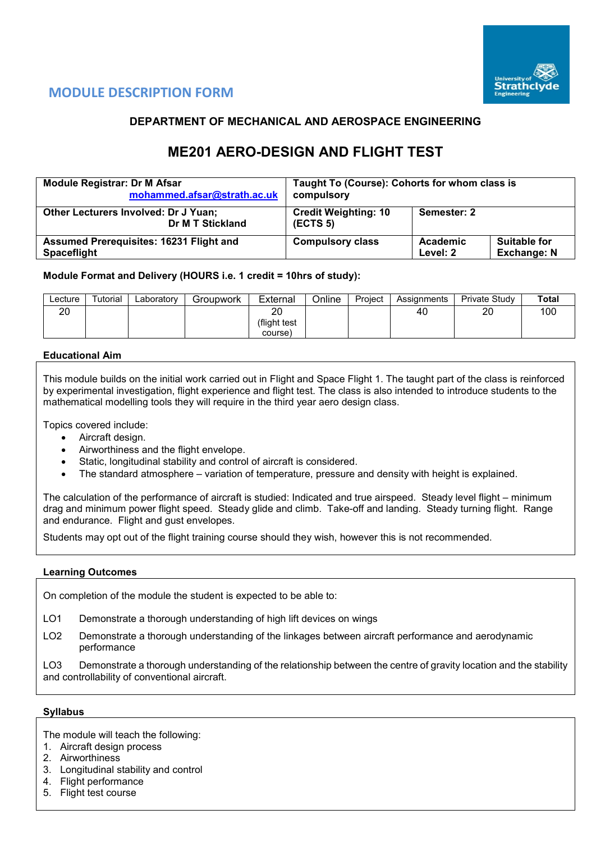

# **MODULE DESCRIPTION FORM**

## **DEPARTMENT OF MECHANICAL AND AEROSPACE ENGINEERING**

# **ME201 AERO-DESIGN AND FLIGHT TEST**

| <b>Module Registrar: Dr M Afsar</b>                             | Taught To (Course): Cohorts for whom class is |          |                     |  |  |  |
|-----------------------------------------------------------------|-----------------------------------------------|----------|---------------------|--|--|--|
| mohammed.afsar@strath.ac.uk                                     | compulsory                                    |          |                     |  |  |  |
| <b>Other Lecturers Involved: Dr J Yuan;</b><br>Dr M T Stickland | <b>Credit Weighting: 10</b><br>(ECTS 5)       |          |                     |  |  |  |
| <b>Assumed Prerequisites: 16231 Flight and</b>                  | <b>Compulsory class</b>                       | Academic | <b>Suitable for</b> |  |  |  |
| <b>Spaceflight</b>                                              |                                               | Level: 2 | <b>Exchange: N</b>  |  |  |  |

## **Module Format and Delivery (HOURS i.e. 1 credit = 10hrs of study):**

| ∟ecture  | Tutorial | ∟aboratory | Groupwork | External     | Online | Project | Assignments | Private Study | Total |
|----------|----------|------------|-----------|--------------|--------|---------|-------------|---------------|-------|
| ററ<br>∠∪ |          |            |           | ററ           |        |         | 40          | 20            | 100   |
|          |          |            |           | (flight test |        |         |             |               |       |
|          |          |            |           | course)      |        |         |             |               |       |

### **Educational Aim**

This module builds on the initial work carried out in Flight and Space Flight 1. The taught part of the class is reinforced by experimental investigation, flight experience and flight test. The class is also intended to introduce students to the mathematical modelling tools they will require in the third year aero design class.

Topics covered include:

- Aircraft design.
- Airworthiness and the flight envelope.
- Static, longitudinal stability and control of aircraft is considered.
- The standard atmosphere variation of temperature, pressure and density with height is explained.

The calculation of the performance of aircraft is studied: Indicated and true airspeed. Steady level flight – minimum drag and minimum power flight speed. Steady glide and climb. Take-off and landing. Steady turning flight. Range and endurance. Flight and gust envelopes.

Students may opt out of the flight training course should they wish, however this is not recommended.

#### **Learning Outcomes**

On completion of the module the student is expected to be able to:

- LO1 Demonstrate a thorough understanding of high lift devices on wings
- LO2 Demonstrate a thorough understanding of the linkages between aircraft performance and aerodynamic performance

LO3 Demonstrate a thorough understanding of the relationship between the centre of gravity location and the stability and controllability of conventional aircraft.

#### **Syllabus**

The module will teach the following:

- 1. Aircraft design process
- 2. Airworthiness
- 3. Longitudinal stability and control
- 4. Flight performance
- 5. Flight test course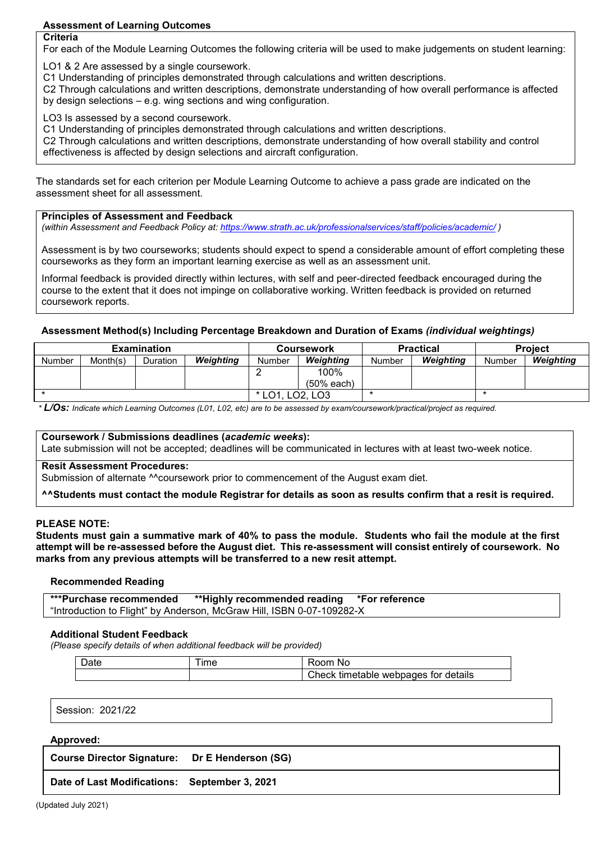## **Assessment of Learning Outcomes**

## **Criteria**

For each of the Module Learning Outcomes the following criteria will be used to make judgements on student learning:

LO1 & 2 Are assessed by a single coursework.

C1 Understanding of principles demonstrated through calculations and written descriptions.

C2 Through calculations and written descriptions, demonstrate understanding of how overall performance is affected by design selections – e.g. wing sections and wing configuration.

LO3 Is assessed by a second coursework.

C1 Understanding of principles demonstrated through calculations and written descriptions.

C2 Through calculations and written descriptions, demonstrate understanding of how overall stability and control effectiveness is affected by design selections and aircraft configuration.

The standards set for each criterion per Module Learning Outcome to achieve a pass grade are indicated on the assessment sheet for all assessment.

## **Principles of Assessment and Feedback**

*(within Assessment and Feedback Policy at: <https://www.strath.ac.uk/professionalservices/staff/policies/academic/> )*

Assessment is by two courseworks; students should expect to spend a considerable amount of effort completing these courseworks as they form an important learning exercise as well as an assessment unit.

Informal feedback is provided directly within lectures, with self and peer-directed feedback encouraged during the course to the extent that it does not impinge on collaborative working. Written feedback is provided on returned coursework reports.

## **Assessment Method(s) Including Percentage Breakdown and Duration of Exams** *(individual weightings)*

|               |          | <b>Examination</b> |           | <b>Coursework</b> |                      |        | <b>Practical</b> | <b>Project</b> |           |
|---------------|----------|--------------------|-----------|-------------------|----------------------|--------|------------------|----------------|-----------|
| <b>Number</b> | Month(s) | Duration           | Weighting | Number            | Weighting            | Number | Weighting        | Number         | Weighting |
|               |          |                    |           |                   | 100%<br>$(50%$ each) |        |                  |                |           |
|               |          |                    |           |                   |                      |        |                  |                |           |
|               |          |                    | $*$ LO1   | LO2. LO3          |                      |        |                  |                |           |

*\* L/Os: Indicate which Learning Outcomes (L01, L02, etc) are to be assessed by exam/coursework/practical/project as required.*

## **Coursework / Submissions deadlines (***academic weeks***):**

Late submission will not be accepted; deadlines will be communicated in lectures with at least two-week notice.

#### **Resit Assessment Procedures:**

Submission of alternate ^^coursework prior to commencement of the August exam diet.

**^^Students must contact the module Registrar for details as soon as results confirm that a resit is required.**

#### **PLEASE NOTE:**

**Students must gain a summative mark of 40% to pass the module. Students who fail the module at the first attempt will be re-assessed before the August diet. This re-assessment will consist entirely of coursework. No marks from any previous attempts will be transferred to a new resit attempt.**

#### **Recommended Reading**

| ***Purchase recommended | **Highly recommended reading *For reference                           |  |
|-------------------------|-----------------------------------------------------------------------|--|
|                         | "Introduction to Flight" by Anderson, McGraw Hill, ISBN 0-07-109282-X |  |

#### **Additional Student Feedback**

*(Please specify details of when additional feedback will be provided)*

| ime | nom<br>N0                                          |
|-----|----------------------------------------------------|
|     | , tor<br>details<br>webpages<br>timetable<br>:heck |

Session: 2021/22

#### **Approved:**

**Course Director Signature: Dr E Henderson (SG)**

**Date of Last Modifications: September 3, 2021**